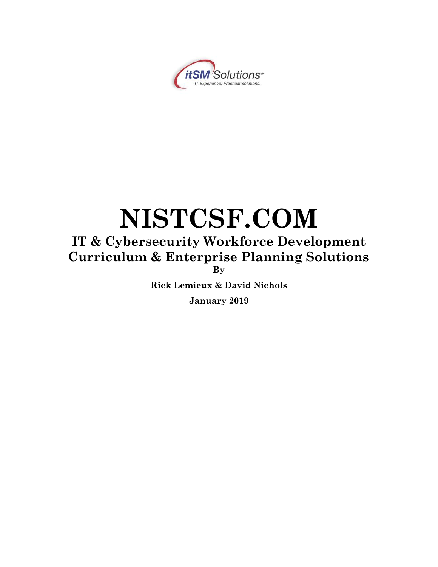

# **NISTCSF.COM**

# **IT & Cybersecurity Workforce Development Curriculum & Enterprise Planning Solutions By**

**Rick Lemieux & David Nichols**

**January 2019**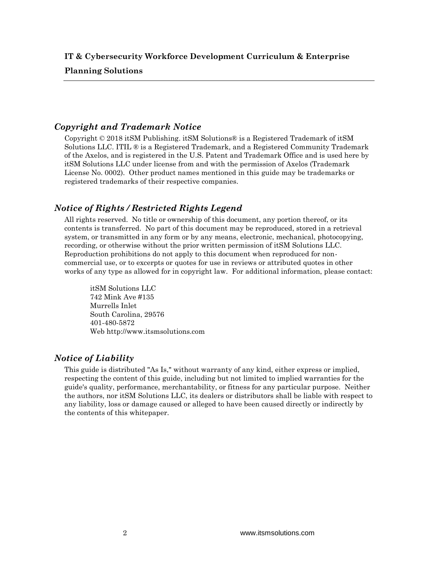#### **Planning Solutions**

## *Copyright and Trademark Notice*

Copyright  $\odot$  2018 it SM Publishing. it SM Solutions  $\odot$  is a Registered Trademark of it SM Solutions LLC. ITIL ® is a Registered Trademark, and a Registered Community Trademark of the Axelos, and is registered in the U.S. Patent and Trademark Office and is used here by itSM Solutions LLC under license from and with the permission of Axelos (Trademark License No. 0002). Other product names mentioned in this guide may be trademarks or registered trademarks of their respective companies.

## *Notice of Rights / Restricted Rights Legend*

All rights reserved. No title or ownership of this document, any portion thereof, or its contents is transferred. No part of this document may be reproduced, stored in a retrieval system, or transmitted in any form or by any means, electronic, mechanical, photocopying, recording, or otherwise without the prior written permission of itSM Solutions LLC. Reproduction prohibitions do not apply to this document when reproduced for noncommercial use, or to excerpts or quotes for use in reviews or attributed quotes in other works of any type as allowed for in copyright law. For additional information, please contact:

itSM Solutions LLC 742 Mink Ave #135 Murrells Inlet South Carolina, 29576 401-480-5872 Web http://www.itsmsolutions.com

### *Notice of Liability*

This guide is distributed "As Is," without warranty of any kind, either express or implied, respecting the content of this guide, including but not limited to implied warranties for the guide's quality, performance, merchantability, or fitness for any particular purpose. Neither the authors, nor itSM Solutions LLC, its dealers or distributors shall be liable with respect to any liability, loss or damage caused or alleged to have been caused directly or indirectly by the contents of this whitepaper.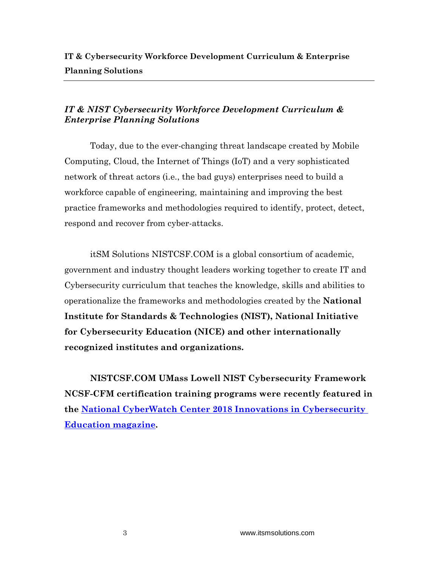# *IT & NIST Cybersecurity Workforce Development Curriculum & Enterprise Planning Solutions*

Today, due to the ever-changing threat landscape created by Mobile Computing, Cloud, the Internet of Things (IoT) and a very sophisticated network of threat actors (i.e., the bad guys) enterprises need to build a workforce capable of engineering, maintaining and improving the best practice frameworks and methodologies required to identify, protect, detect, respond and recover from cyber-attacks.

itSM Solutions NISTCSF.COM is a global consortium of academic, government and industry thought leaders working together to create IT and Cybersecurity curriculum that teaches the knowledge, skills and abilities to operationalize the frameworks and methodologies created by the **National Institute for Standards & Technologies (NIST), National Initiative for Cybersecurity Education (NICE) and other internationally recognized institutes and organizations.**

**NISTCSF.COM UMass Lowell NIST Cybersecurity Framework NCSF-CFM certification training programs were recently featured in the [National CyberWatch Center 2018 Innovations in Cybersecurity](https://nationalcyberwatchcenter.wildapricot.org/resources/Public%20Resourses/Innovations%20in%20Cybersecurity%20Education/NCC%20-%202018%20Innovations%20in%20Cybersecurity%20Education_WEB.pdf)  [Education magazine.](https://nationalcyberwatchcenter.wildapricot.org/resources/Public%20Resourses/Innovations%20in%20Cybersecurity%20Education/NCC%20-%202018%20Innovations%20in%20Cybersecurity%20Education_WEB.pdf)**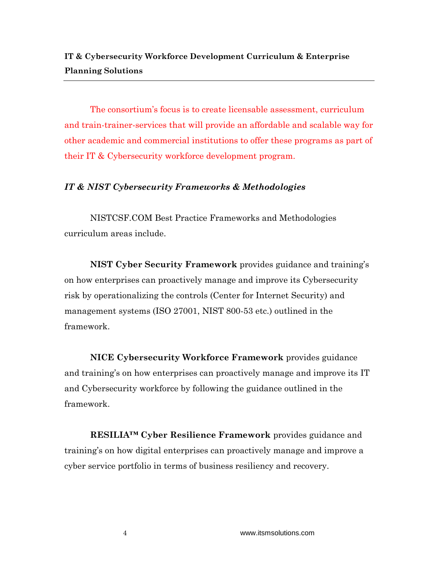The consortium's focus is to create licensable assessment, curriculum and train-trainer-services that will provide an affordable and scalable way for other academic and commercial institutions to offer these programs as part of their IT & Cybersecurity workforce development program.

## *IT & NIST Cybersecurity Frameworks & Methodologies*

NISTCSF.COM Best Practice Frameworks and Methodologies curriculum areas include.

**NIST Cyber Security Framework** provides guidance and training's on how enterprises can proactively manage and improve its Cybersecurity risk by operationalizing the controls (Center for Internet Security) and management systems (ISO 27001, NIST 800-53 etc.) outlined in the framework.

**NICE Cybersecurity Workforce Framework** provides guidance and training's on how enterprises can proactively manage and improve its IT and Cybersecurity workforce by following the guidance outlined in the framework.

**RESILIA™ Cyber Resilience Framework** provides guidance and training's on how digital enterprises can proactively manage and improve a cyber service portfolio in terms of business resiliency and recovery.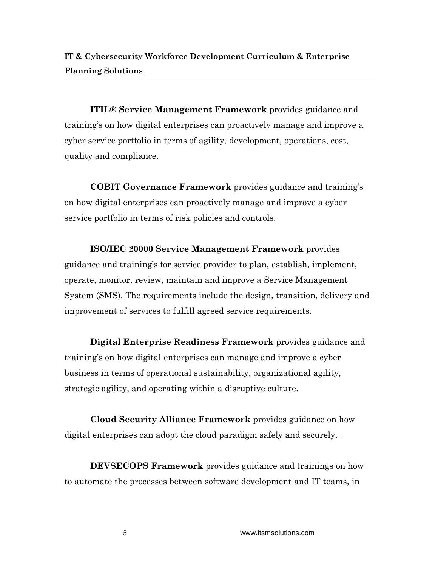**ITIL® Service Management Framework** provides guidance and training's on how digital enterprises can proactively manage and improve a cyber service portfolio in terms of agility, development, operations, cost, quality and compliance.

**COBIT Governance Framework** provides guidance and training's on how digital enterprises can proactively manage and improve a cyber service portfolio in terms of risk policies and controls.

**ISO/IEC 20000 Service Management Framework** provides guidance and training's for service provider to plan, establish, implement, operate, monitor, review, maintain and improve a Service Management System (SMS). The requirements include the design, transition, delivery and improvement of services to fulfill agreed service requirements.

**Digital Enterprise Readiness Framework** provides guidance and training's on how digital enterprises can manage and improve a cyber business in terms of operational sustainability, organizational agility, strategic agility, and operating within a disruptive culture.

**Cloud Security Alliance Framework** provides guidance on how digital enterprises can adopt the cloud paradigm safely and securely.

**DEVSECOPS Framework** provides guidance and trainings on how to automate the processes between software development and IT teams, in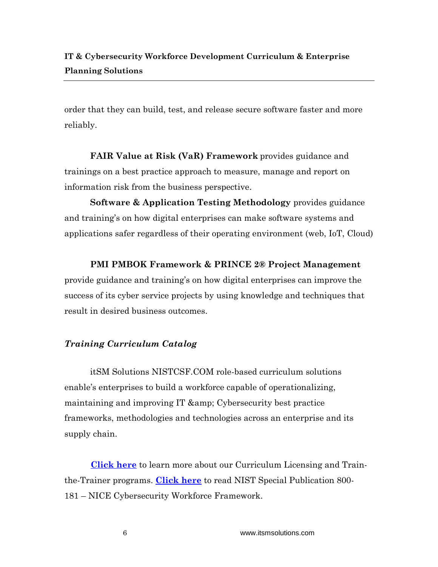order that they can build, test, and release secure software faster and more reliably.

**FAIR Value at Risk (VaR) Framework** provides guidance and trainings on a best practice approach to measure, manage and report on information risk from the business perspective.

**Software & Application Testing Methodology** provides guidance and training's on how digital enterprises can make software systems and applications safer regardless of their operating environment (web, IoT, Cloud)

## **PMI PMBOK Framework & PRINCE 2® Project Management**

provide guidance and training's on how digital enterprises can improve the success of its cyber service projects by using knowledge and techniques that result in desired business outcomes.

# *Training Curriculum Catalog*

itSM Solutions NISTCSF.COM role-based curriculum solutions enable's enterprises to build a workforce capable of operationalizing, maintaining and improving IT & amp; Cybersecurity best practice frameworks, methodologies and technologies across an enterprise and its supply chain.

 **[Click here](https://nistcsf.com/nistcsf-com-licensing-partner/)** to learn more about our Curriculum Licensing and Trainthe-Trainer programs. **[Click here](https://nistcsf.com/wp-content/uploads/2019/01/NIST.SP_.800-181-1.pdf)** to read NIST Special Publication 800- 181 – NICE Cybersecurity Workforce Framework.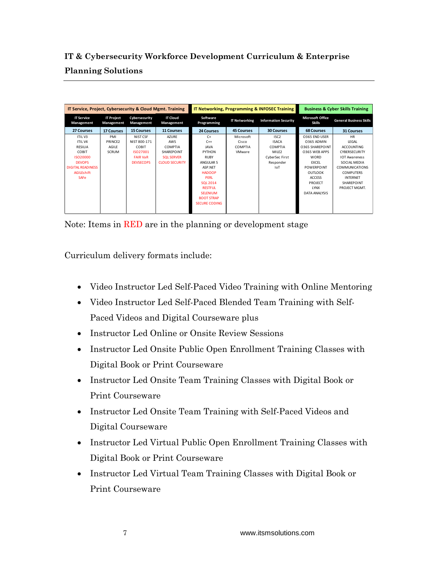**IT & Cybersecurity Workforce Development Curriculum & Enterprise Planning Solutions**

| IT Service, Project, Cybersecurity & Cloud Mgmt. Training |                                 |                             | <b>IT Networking, Programming &amp; INFOSEC Training</b> |                         |                      | <b>Business &amp; Cyber Skills Training</b> |                                          |                                |
|-----------------------------------------------------------|---------------------------------|-----------------------------|----------------------------------------------------------|-------------------------|----------------------|---------------------------------------------|------------------------------------------|--------------------------------|
| <b>IT Service</b><br>Management                           | <b>IT Project</b><br>Management | Cybersecurity<br>Management | <b>IT Cloud</b><br>Management                            | Software<br>Programming | <b>IT Networking</b> | <b>Information Security</b>                 | <b>Microsoft Office</b><br><b>Skills</b> | <b>General Business Skills</b> |
| 27 Courses                                                | <b>17 Courses</b>               | <b>15 Courses</b>           | <b>11 Courses</b>                                        | <b>24 Courses</b>       | <b>45 Courses</b>    | <b>30 Courses</b>                           | <b>68 Courses</b>                        | <b>31 Courses</b>              |
| ITIL V3                                                   | PMI                             | NIST CSF                    | <b>AZURE</b>                                             | $C+$                    | Microsoft            | ISC <sub>2</sub>                            | O365 END USER                            | <b>HR</b>                      |
| ITIL <sub>V4</sub>                                        | PRINCE <sub>2</sub>             | NIST 800-171                | <b>AWS</b>                                               | $C++$                   | Cisco                | <b>ISACA</b>                                | 0365 ADMIN                               | <b>LEGAL</b>                   |
| RESILIA                                                   | AGILE                           | COBIT                       | COMPTIA                                                  | <b>JAVA</b>             | COMPTIA              | COMPTIA                                     | 0365 SHARFPOINT                          | <b>ACCOUNTING</b>              |
| COBIT                                                     | <b>SCRUM</b>                    | 15027001                    | SHARFPOINT                                               | PYTHON                  | VMware               | MILE <sub>2</sub>                           | 0365 WFB APPS                            | <b>CYBERSECURITY</b>           |
| 15020000                                                  |                                 | <b>FAIR VaR</b>             | <b>SOL SERVER</b>                                        | <b>RUBY</b>             |                      | CyberSec First                              | <b>WORD</b>                              | <b>IOT Awareness</b>           |
| <b>DEVOPS</b>                                             |                                 | <b>DEVSECOPS</b>            | <b>CLOUD SECURITY</b>                                    | ANGULAR 5               |                      | Responder                                   | <b>EXCEL</b>                             | SOCIAL MEDIA                   |
| <b>DIGITAL READINESS</b>                                  |                                 |                             |                                                          | <b>ASP.NFT</b>          |                      | IoT                                         | <b>POWERPOINT</b>                        | <b>COMMUNICATIONS</b>          |
| <b>AGILEshift</b>                                         |                                 |                             |                                                          | <b>HADOOP</b>           |                      |                                             | OUTLOOK                                  | <b>COMPUTERS</b>               |
| <b>SAFe</b>                                               |                                 |                             |                                                          | <b>PFRI</b>             |                      |                                             | <b>ACCESS</b>                            | <b>INTERNET</b>                |
|                                                           |                                 |                             |                                                          | SOL 2014                |                      |                                             | <b>PROJECT</b>                           | <b>SHARFPOINT</b>              |
|                                                           |                                 |                             |                                                          | <b>RESTEUL</b>          |                      |                                             | <b>IYNX</b>                              | PROJECT MGMT.                  |
|                                                           |                                 |                             |                                                          | <b>SELENIUM</b>         |                      |                                             | DATA ANALYSIS                            |                                |
|                                                           |                                 |                             |                                                          | <b>BOOT STRAP</b>       |                      |                                             |                                          |                                |
|                                                           |                                 |                             |                                                          | <b>SECURE CODING</b>    |                      |                                             |                                          |                                |
|                                                           |                                 |                             |                                                          |                         |                      |                                             |                                          |                                |

Note: Items in RED are in the planning or development stage

Curriculum delivery formats include:

- Video Instructor Led Self-Paced Video Training with Online Mentoring
- Video Instructor Led Self-Paced Blended Team Training with Self-Paced Videos and Digital Courseware plus
- Instructor Led Online or Onsite Review Sessions
- Instructor Led Onsite Public Open Enrollment Training Classes with Digital Book or Print Courseware
- Instructor Led Onsite Team Training Classes with Digital Book or Print Courseware
- Instructor Led Onsite Team Training with Self-Paced Videos and Digital Courseware
- Instructor Led Virtual Public Open Enrollment Training Classes with Digital Book or Print Courseware
- Instructor Led Virtual Team Training Classes with Digital Book or Print Courseware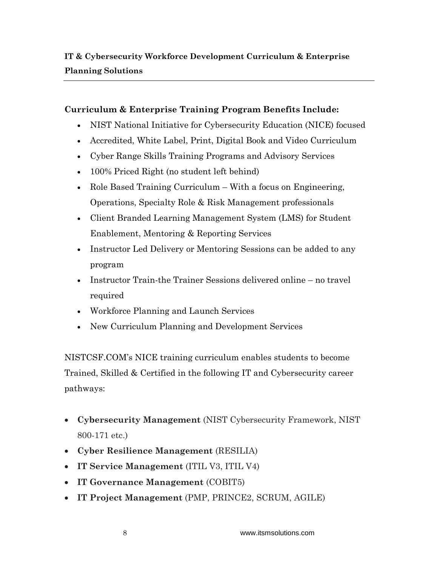# **Curriculum & Enterprise Training Program Benefits Include:**

- NIST National Initiative for Cybersecurity Education (NICE) focused
- Accredited, White Label, Print, Digital Book and Video Curriculum
- Cyber Range Skills Training Programs and Advisory Services
- 100% Priced Right (no student left behind)
- Role Based Training Curriculum With a focus on Engineering, Operations, Specialty Role & Risk Management professionals
- Client Branded Learning Management System (LMS) for Student Enablement, Mentoring & Reporting Services
- Instructor Led Delivery or Mentoring Sessions can be added to any program
- Instructor Train-the Trainer Sessions delivered online no travel required
- Workforce Planning and Launch Services
- New Curriculum Planning and Development Services

NISTCSF.COM's NICE training curriculum enables students to become Trained, Skilled & Certified in the following IT and Cybersecurity career pathways:

- **Cybersecurity Management** (NIST Cybersecurity Framework, NIST 800-171 etc.)
- **Cyber Resilience Management** (RESILIA)
- **IT Service Management** (ITIL V3, ITIL V4)
- **IT Governance Management** (COBIT5)
- **IT Project Management** (PMP, PRINCE2, SCRUM, AGILE)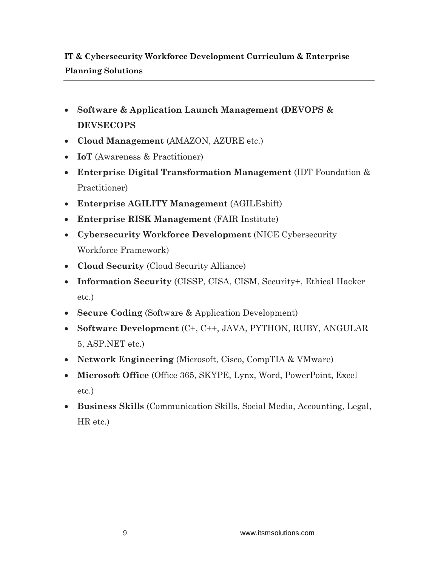# **IT & Cybersecurity Workforce Development Curriculum & Enterprise Planning Solutions**

- **Software & Application Launch Management (DEVOPS & DEVSECOPS**
- **Cloud Management** (AMAZON, AZURE etc.)
- **IoT** (Awareness & Practitioner)
- **Enterprise Digital Transformation Management** (IDT Foundation & Practitioner)
- **Enterprise AGILITY Management** (AGILEshift)
- **Enterprise RISK Management** (FAIR Institute)
- **Cybersecurity Workforce Development** (NICE Cybersecurity Workforce Framework)
- **Cloud Security** (Cloud Security Alliance)
- **Information Security** (CISSP, CISA, CISM, Security+, Ethical Hacker etc.)
- **Secure Coding** (Software & Application Development)
- **Software Development** (C+, C++, JAVA, PYTHON, RUBY, ANGULAR 5, ASP.NET etc.)
- **Network Engineering** (Microsoft, Cisco, CompTIA & VMware)
- **Microsoft Office** (Office 365, SKYPE, Lynx, Word, PowerPoint, Excel etc.)
- **Business Skills** (Communication Skills, Social Media, Accounting, Legal, HR etc.)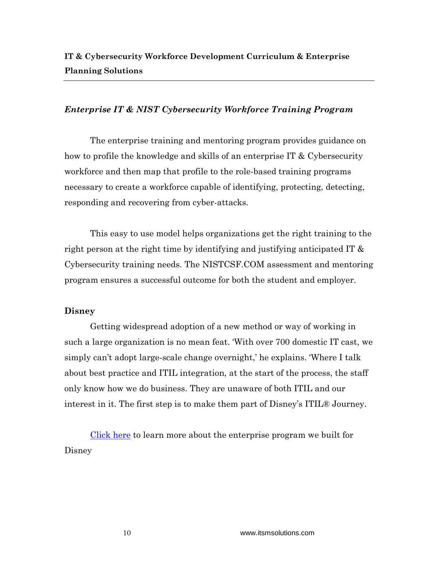## *Enterprise IT & NIST Cybersecurity Workforce Training Program*

The enterprise training and mentoring program provides guidance on how to profile the knowledge and skills of an enterprise IT & Cybersecurity workforce and then map that profile to the role-based training programs necessary to create a workforce capable of identifying, protecting, detecting, responding and recovering from cyber-attacks.

This easy to use model helps organizations get the right training to the right person at the right time by identifying and justifying anticipated IT & Cybersecurity training needs. The NISTCSF.COM assessment and mentoring program ensures a successful outcome for both the student and employer.

### **Disney**

Getting widespread adoption of a new method or way of working in such a large organization is no mean feat. 'With over 700 domestic IT cast, we simply can't adopt large-scale change overnight,' he explains. 'Where I talk about best practice and ITIL integration, at the start of the process, the staff only know how we do business. They are unaware of both ITIL and our interest in it. The first step is to make them part of Disney's ITIL® Journey.

[Click here](https://nistcsf.com/wp-content/uploads/2015/01/Disney-s-ITIL-Journey-Case-Study.pdf) to learn more about the enterprise program we built for Disney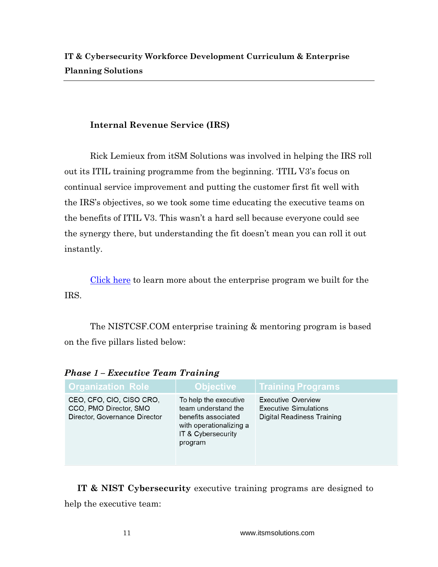# **Internal Revenue Service (IRS)**

Rick Lemieux from itSM Solutions was involved in helping the IRS roll out its ITIL training programme from the beginning. 'ITIL V3's focus on continual service improvement and putting the customer first fit well with the IRS's objectives, so we took some time educating the executive teams on the benefits of ITIL V3. This wasn't a hard sell because everyone could see the synergy there, but understanding the fit doesn't mean you can roll it out instantly.

[Click here](https://nistcsf.com/wp-content/uploads/2015/01/Using-ITIL-at-the-IRS-A-business-journey-Case-Study-1.pdf) to learn more about the enterprise program we built for the IRS.

The NISTCSF.COM enterprise training & mentoring program is based on the five pillars listed below:

| <b>Organization Role</b>                                                            | <b>Objective</b>                                                                                                                | <b>Training Programs</b>                                                                |  |  |
|-------------------------------------------------------------------------------------|---------------------------------------------------------------------------------------------------------------------------------|-----------------------------------------------------------------------------------------|--|--|
| CEO, CFO, CIO, CISO CRO,<br>CCO, PMO Director, SMO<br>Director, Governance Director | To help the executive<br>team understand the<br>benefits associated<br>with operationalizing a<br>IT & Cybersecurity<br>program | Executive Overview<br><b>Executive Simulations</b><br><b>Digital Readiness Training</b> |  |  |

*Phase 1 – Executive Team Training*

**IT & NIST Cybersecurity** executive training programs are designed to help the executive team: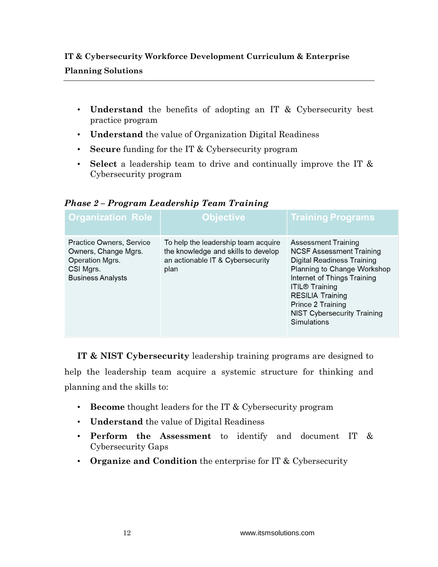# **IT & Cybersecurity Workforce Development Curriculum & Enterprise Planning Solutions**

- **Understand** the benefits of adopting an IT & Cybersecurity best practice program
- **Understand** the value of Organization Digital Readiness
- **Secure** funding for the IT & Cybersecurity program
- **Select** a leadership team to drive and continually improve the IT & Cybersecurity program

| <b>Organization Role</b>                                                                                     | <b>Objective</b>                                                                                                       | <b>Training Programs</b>                                                                                                                                                                                                                                                                |
|--------------------------------------------------------------------------------------------------------------|------------------------------------------------------------------------------------------------------------------------|-----------------------------------------------------------------------------------------------------------------------------------------------------------------------------------------------------------------------------------------------------------------------------------------|
| Practice Owners, Service<br>Owners, Change Mgrs.<br>Operation Mgrs.<br>CSI Mgrs.<br><b>Business Analysts</b> | To help the leadership team acquire<br>the knowledge and skills to develop<br>an actionable IT & Cybersecurity<br>plan | Assessment Training<br><b>NCSF Assessment Training</b><br><b>Digital Readiness Training</b><br>Planning to Change Workshop<br>Internet of Things Training<br><b>ITIL® Training</b><br><b>RESILIA Training</b><br>Prince 2 Training<br><b>NIST Cybersecurity Training</b><br>Simulations |

*Phase 2 – Program Leadership Team Training*

**IT & NIST Cybersecurity** leadership training programs are designed to help the leadership team acquire a systemic structure for thinking and planning and the skills to:

- **Become** thought leaders for the IT & Cybersecurity program
- **Understand** the value of Digital Readiness
- **Perform the Assessment** to identify and document IT & Cybersecurity Gaps
- **Organize and Condition** the enterprise for IT & Cybersecurity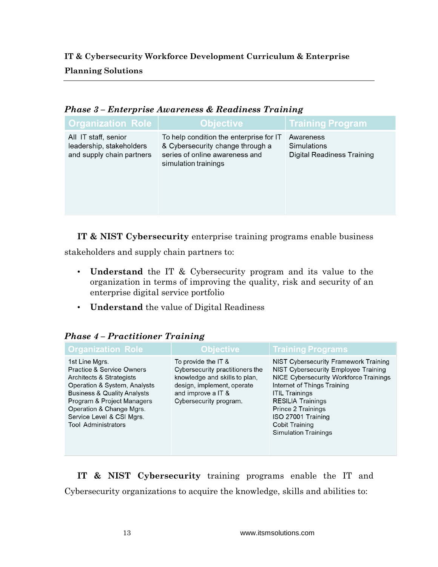**IT & Cybersecurity Workforce Development Curriculum & Enterprise Planning Solutions**

| 1 IVWUV V<br>$\mu$ and $\mu$ and $\mu$ and $\mu$ and $\mu$ and $\mu$ and $\mu$ and $\mu$ and $\mu$ and $\mu$ |                                                                                                                                       |                                                        |  |  |
|--------------------------------------------------------------------------------------------------------------|---------------------------------------------------------------------------------------------------------------------------------------|--------------------------------------------------------|--|--|
| <b>Organization Role</b>                                                                                     | <b>Objective</b>                                                                                                                      | <b>Training Program</b>                                |  |  |
| All IT staff, senior<br>leadership, stakeholders<br>and supply chain partners                                | To help condition the enterprise for IT<br>& Cybersecurity change through a<br>series of online awareness and<br>simulation trainings | Awareness<br>Simulations<br>Digital Readiness Training |  |  |

*Phase 3 – Enterprise Awareness & Readiness Training*

**IT & NIST Cybersecurity** enterprise training programs enable business

stakeholders and supply chain partners to:

- **Understand** the IT & Cybersecurity program and its value to the organization in terms of improving the quality, risk and security of an enterprise digital service portfolio
- **Understand** the value of Digital Readiness

| <b>Organization Role</b>                                                                                                                                                                                                                                                          | <b>Objective</b>                                                                                                                                                      | <b>Training Programs</b>                                                                                                                                                                                                                                                                                               |
|-----------------------------------------------------------------------------------------------------------------------------------------------------------------------------------------------------------------------------------------------------------------------------------|-----------------------------------------------------------------------------------------------------------------------------------------------------------------------|------------------------------------------------------------------------------------------------------------------------------------------------------------------------------------------------------------------------------------------------------------------------------------------------------------------------|
| 1st Line Mgrs.<br><b>Practice &amp; Service Owners</b><br>Architects & Strategists<br>Operation & System, Analysts<br><b>Business &amp; Quality Analysts</b><br>Program & Project Managers<br>Operation & Change Mgrs.<br>Service Level & CSI Mgrs.<br><b>Tool Administrators</b> | To provide the IT &<br>Cybersecurity practitioners the<br>knowledge and skills to plan,<br>design, implement, operate<br>and improve a IT &<br>Cybersecurity program. | <b>NIST Cybersecurity Framework Training</b><br>NIST Cybersecurity Employee Training<br>NICE Cybersecurity Workforce Trainings<br>Internet of Things Training<br><b>ITIL Trainings</b><br><b>RESILIA Trainings</b><br>Prince 2 Trainings<br>ISO 27001 Training<br><b>Cobit Training</b><br><b>Simulation Trainings</b> |

*Phase 4 – Practitioner Training*

**IT & NIST Cybersecurity** training programs enable the IT and Cybersecurity organizations to acquire the knowledge, skills and abilities to: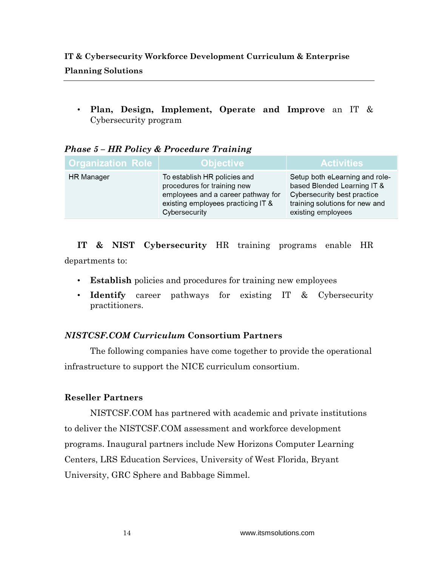# **IT & Cybersecurity Workforce Development Curriculum & Enterprise Planning Solutions**

• **Plan, Design, Implement, Operate and Improve** an IT & Cybersecurity program

| <b>Organization Role</b> | <b>Objective</b>                                                                                                                                         | <b>Activities</b>                                                                                                                                    |
|--------------------------|----------------------------------------------------------------------------------------------------------------------------------------------------------|------------------------------------------------------------------------------------------------------------------------------------------------------|
| <b>HR Manager</b>        | To establish HR policies and<br>procedures for training new<br>employees and a career pathway for<br>existing employees practicing IT &<br>Cybersecurity | Setup both eLearning and role-<br>based Blended Learning IT &<br>Cybersecurity best practice<br>training solutions for new and<br>existing employees |

# *Phase 5 – HR Policy & Procedure Training*

**IT & NIST Cybersecurity** HR training programs enable HR departments to:

- **Establish** policies and procedures for training new employees
- **Identify** career pathways for existing IT & Cybersecurity practitioners.

# *NISTCSF.COM Curriculum* **Consortium Partners**

The following companies have come together to provide the operational infrastructure to support the NICE curriculum consortium.

# **Reseller Partners**

NISTCSF.COM has partnered with academic and private institutions to deliver the NISTCSF.COM assessment and workforce development programs. Inaugural partners include New Horizons Computer Learning Centers, LRS Education Services, University of West Florida, Bryant University, GRC Sphere and Babbage Simmel.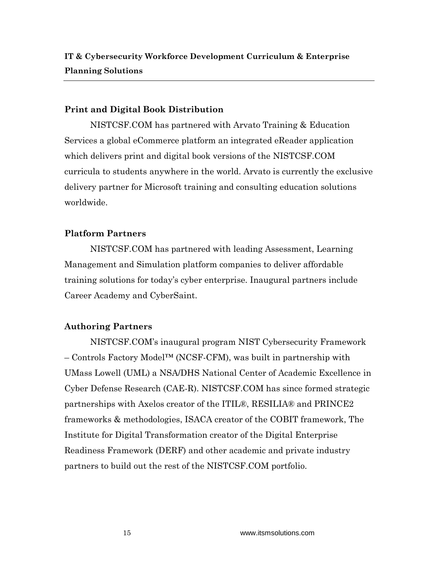## **Print and Digital Book Distribution**

NISTCSF.COM has partnered with Arvato Training & Education Services a global eCommerce platform an integrated eReader application which delivers print and digital book versions of the NISTCSF.COM curricula to students anywhere in the world. Arvato is currently the exclusive delivery partner for Microsoft training and consulting education solutions worldwide.

# **Platform Partners**

NISTCSF.COM has partnered with leading Assessment, Learning Management and Simulation platform companies to deliver affordable training solutions for today's cyber enterprise. Inaugural partners include Career Academy and CyberSaint.

# **Authoring Partners**

NISTCSF.COM's inaugural program NIST Cybersecurity Framework – Controls Factory Model™ (NCSF-CFM), was built in partnership with UMass Lowell (UML) a NSA/DHS National Center of Academic Excellence in Cyber Defense Research (CAE-R). NISTCSF.COM has since formed strategic partnerships with Axelos creator of the ITIL®, RESILIA® and PRINCE2 frameworks & methodologies, ISACA creator of the COBIT framework, The Institute for Digital Transformation creator of the Digital Enterprise Readiness Framework (DERF) and other academic and private industry partners to build out the rest of the NISTCSF.COM portfolio.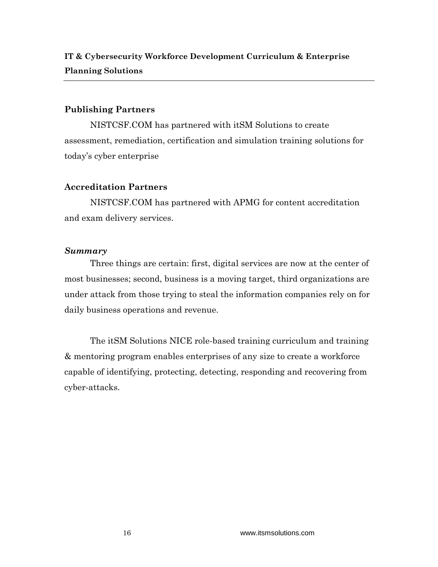## **Publishing Partners**

NISTCSF.COM has partnered with itSM Solutions to create assessment, remediation, certification and simulation training solutions for today's cyber enterprise

## **Accreditation Partners**

NISTCSF.COM has partnered with APMG for content accreditation and exam delivery services.

## *Summary*

Three things are certain: first, digital services are now at the center of most businesses; second, business is a moving target, third organizations are under attack from those trying to steal the information companies rely on for daily business operations and revenue.

The itSM Solutions NICE role-based training curriculum and training & mentoring program enables enterprises of any size to create a workforce capable of identifying, protecting, detecting, responding and recovering from cyber-attacks.